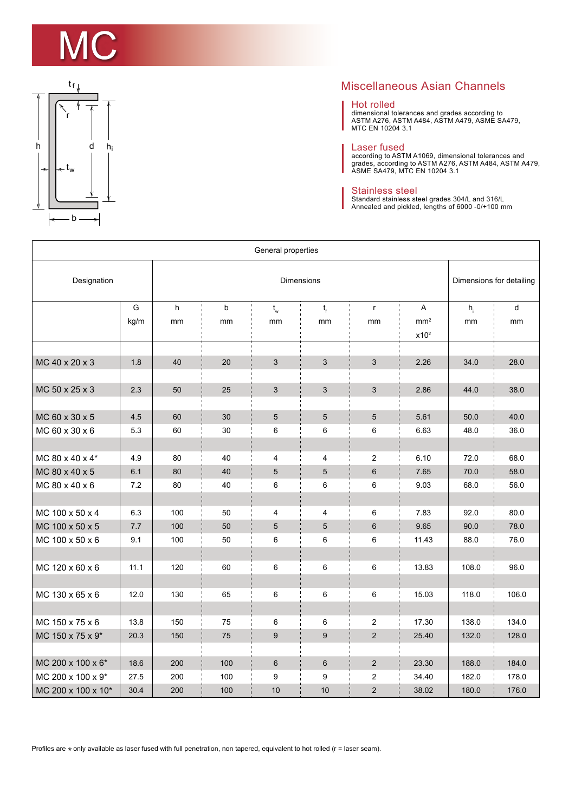



## Miscellaneous Asian Channels

## Hot rolled

dimensional tolerances and grades according to ASTM A276, ASTM A484, ASTM A479, ASME SA479, MTC EN 10204 3.1

Laser fused<br>according to ASTM A1069, dimensional tolerances and<br>grades, according to ASTM A276, ASTM A484, ASTM A479,<br>ASME SA479, MTC EN 10204 3.1

## Stainless steel

Standard stainless steel grades 304/L and 316/L Annealed and pickled, lengths of 6000 -0/+100 mm

| General properties |         |     |                          |                 |                 |                  |                                     |       |       |  |  |
|--------------------|---------|-----|--------------------------|-----------------|-----------------|------------------|-------------------------------------|-------|-------|--|--|
| Designation        |         |     | Dimensions for detailing |                 |                 |                  |                                     |       |       |  |  |
|                    | G       | h   | b                        | $t_{w}$         | $t_{\rm f}$     | $\mathsf{r}$     | A                                   | $h_i$ | d     |  |  |
|                    | kg/m    | mm  | mm                       | mm              | mm              | mm               | mm <sup>2</sup><br>x10 <sup>2</sup> | mm    | mm    |  |  |
| MC 40 x 20 x 3     | 1.8     | 40  | 20                       | 3               | 3               | $\mathfrak{S}$   | 2.26                                | 34.0  | 28.0  |  |  |
| MC 50 x 25 x 3     | 2.3     | 50  | 25                       | $\mathbf{3}$    | 3               | 3                | 2.86                                | 44.0  | 38.0  |  |  |
|                    |         |     |                          |                 |                 |                  |                                     |       |       |  |  |
| MC 60 x 30 x 5     | 4.5     | 60  | 30                       | $\sqrt{5}$      | $5\phantom{.0}$ | $\sqrt{5}$       | 5.61                                | 50.0  | 40.0  |  |  |
| MC 60 x 30 x 6     | 5.3     | 60  | 30                       | 6               | 6               | 6                | 6.63                                | 48.0  | 36.0  |  |  |
|                    |         |     |                          |                 |                 |                  |                                     |       |       |  |  |
| MC 80 x 40 x 4*    | 4.9     | 80  | 40                       | 4               | 4               | $\overline{c}$   | 6.10                                | 72.0  | 68.0  |  |  |
| MC 80 x 40 x 5     | 6.1     | 80  | 40                       | $5\phantom{.0}$ | 5               | $6\phantom{1}6$  | 7.65                                | 70.0  | 58.0  |  |  |
| MC 80 x 40 x 6     | 7.2     | 80  | 40                       | 6               | 6               | 6                | 9.03                                | 68.0  | 56.0  |  |  |
|                    |         |     |                          |                 |                 |                  |                                     |       |       |  |  |
| MC 100 x 50 x 4    | 6.3     | 100 | 50                       | 4               | $\overline{4}$  | 6                | 7.83                                | 92.0  | 80.0  |  |  |
| MC 100 x 50 x 5    | $7.7\,$ | 100 | 50                       | $5\phantom{.0}$ | 5               | $\,6$            | 9.65                                | 90.0  | 78.0  |  |  |
| MC 100 x 50 x 6    | 9.1     | 100 | 50                       | 6               | 6               | 6                | 11.43                               | 88.0  | 76.0  |  |  |
|                    |         |     |                          |                 |                 |                  |                                     |       |       |  |  |
| MC 120 x 60 x 6    | 11.1    | 120 | 60                       | $\,6\,$         | 6               | 6                | 13.83                               | 108.0 | 96.0  |  |  |
|                    |         |     |                          |                 |                 |                  |                                     |       |       |  |  |
| MC 130 x 65 x 6    | 12.0    | 130 | 65                       | 6               | 6               | 6                | 15.03                               | 118.0 | 106.0 |  |  |
|                    |         |     |                          |                 |                 |                  |                                     |       |       |  |  |
| MC 150 x 75 x 6    | 13.8    | 150 | 75                       | $\,6\,$         | 6               | $\boldsymbol{2}$ | 17.30                               | 138.0 | 134.0 |  |  |
| MC 150 x 75 x 9*   | 20.3    | 150 | 75                       | 9               | 9               | $\overline{2}$   | 25.40                               | 132.0 | 128.0 |  |  |
|                    |         |     |                          |                 |                 |                  |                                     |       |       |  |  |
| MC 200 x 100 x 6*  | 18.6    | 200 | 100                      | 6               | 6               | $\overline{2}$   | 23.30                               | 188.0 | 184.0 |  |  |
| MC 200 x 100 x 9*  | 27.5    | 200 | 100                      | 9               | 9               | 2                | 34.40                               | 182.0 | 178.0 |  |  |
| MC 200 x 100 x 10* | 30.4    | 200 | 100                      | 10              | 10              | $\overline{c}$   | 38.02                               | 180.0 | 176.0 |  |  |

Profiles are  $\star$  only available as laser fused with full penetration, non tapered, equivalent to hot rolled (r = laser seam).